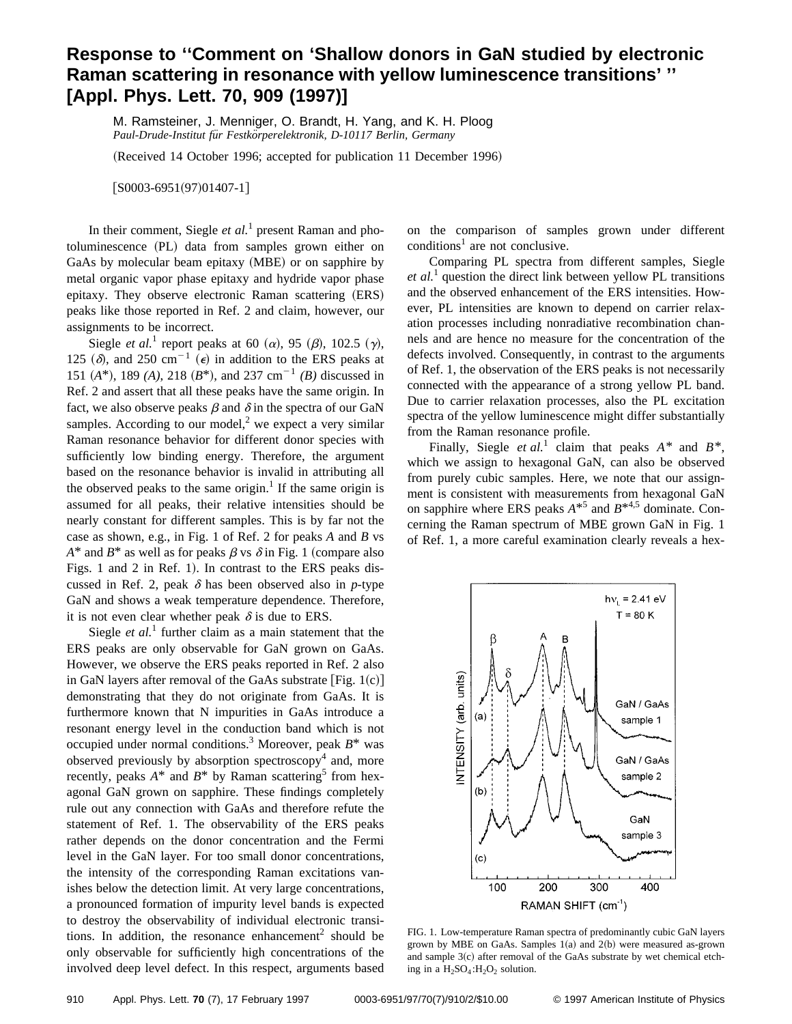## **Response to ''Comment on 'Shallow donors in GaN studied by electronic Raman scattering in resonance with yellow luminescence transitions' '' [Appl. Phys. Lett. 70, 909 (1997)]**

M. Ramsteiner, J. Menniger, O. Brandt, H. Yang, and K. H. Ploog *Paul-Drude-Institut fu¨r Festko¨rperelektronik, D-10117 Berlin, Germany*

(Received 14 October 1996; accepted for publication 11 December 1996)

 $[$ S0003-6951(97)01407-1]

In their comment, Siegle *et al.*<sup>1</sup> present Raman and photoluminescence (PL) data from samples grown either on GaAs by molecular beam epitaxy (MBE) or on sapphire by metal organic vapor phase epitaxy and hydride vapor phase epitaxy. They observe electronic Raman scattering (ERS) peaks like those reported in Ref. 2 and claim, however, our assignments to be incorrect.

Siegle *et al.*<sup>1</sup> report peaks at 60  $(\alpha)$ , 95  $(\beta)$ , 102.5  $(\gamma)$ , 125  $(\delta)$ , and 250 cm<sup>-1</sup>  $(\epsilon)$  in addition to the ERS peaks at 151  $(A^*)$ , 189  $(A)$ , 218  $(B^*)$ , and 237 cm<sup>-1</sup>  $(B)$  discussed in Ref. 2 and assert that all these peaks have the same origin. In fact, we also observe peaks  $\beta$  and  $\delta$  in the spectra of our GaN samples. According to our model, $<sup>2</sup>$  we expect a very similar</sup> Raman resonance behavior for different donor species with sufficiently low binding energy. Therefore, the argument based on the resonance behavior is invalid in attributing all the observed peaks to the same origin.<sup>1</sup> If the same origin is assumed for all peaks, their relative intensities should be nearly constant for different samples. This is by far not the case as shown, e.g., in Fig. 1 of Ref. 2 for peaks *A* and *B* vs  $A^*$  and  $B^*$  as well as for peaks  $\beta$  vs  $\delta$  in Fig. 1 (compare also Figs. 1 and 2 in Ref. 1). In contrast to the ERS peaks discussed in Ref. 2, peak  $\delta$  has been observed also in *p*-type GaN and shows a weak temperature dependence. Therefore, it is not even clear whether peak  $\delta$  is due to ERS.

Siegle *et al.*<sup>1</sup> further claim as a main statement that the ERS peaks are only observable for GaN grown on GaAs. However, we observe the ERS peaks reported in Ref. 2 also in GaN layers after removal of the GaAs substrate  $[Fig. 1(c)]$ demonstrating that they do not originate from GaAs. It is furthermore known that N impurities in GaAs introduce a resonant energy level in the conduction band which is not occupied under normal conditions.3 Moreover, peak *B*\* was observed previously by absorption spectroscopy<sup>4</sup> and, more recently, peaks  $A^*$  and  $B^*$  by Raman scattering<sup>5</sup> from hexagonal GaN grown on sapphire. These findings completely rule out any connection with GaAs and therefore refute the statement of Ref. 1. The observability of the ERS peaks rather depends on the donor concentration and the Fermi level in the GaN layer. For too small donor concentrations, the intensity of the corresponding Raman excitations vanishes below the detection limit. At very large concentrations, a pronounced formation of impurity level bands is expected to destroy the observability of individual electronic transitions. In addition, the resonance enhancement<sup>2</sup> should be only observable for sufficiently high concentrations of the involved deep level defect. In this respect, arguments based

on the comparison of samples grown under different  $conditions<sup>1</sup>$  are not conclusive.

Comparing PL spectra from different samples, Siegle *et al.*<sup>1</sup> question the direct link between yellow PL transitions and the observed enhancement of the ERS intensities. However, PL intensities are known to depend on carrier relaxation processes including nonradiative recombination channels and are hence no measure for the concentration of the defects involved. Consequently, in contrast to the arguments of Ref. 1, the observation of the ERS peaks is not necessarily connected with the appearance of a strong yellow PL band. Due to carrier relaxation processes, also the PL excitation spectra of the yellow luminescence might differ substantially from the Raman resonance profile.

Finally, Siegle *et al.*<sup>1</sup> claim that peaks  $A^*$  and  $B^*$ , which we assign to hexagonal GaN, can also be observed from purely cubic samples. Here, we note that our assignment is consistent with measurements from hexagonal GaN on sapphire where ERS peaks  $A^{*5}$  and  $B^{*4,5}$  dominate. Concerning the Raman spectrum of MBE grown GaN in Fig. 1 of Ref. 1, a more careful examination clearly reveals a hex-



FIG. 1. Low-temperature Raman spectra of predominantly cubic GaN layers grown by MBE on GaAs. Samples  $1(a)$  and  $2(b)$  were measured as-grown and sample  $3(c)$  after removal of the GaAs substrate by wet chemical etching in a  $H_2SO_4$ : $H_2O_2$  solution.